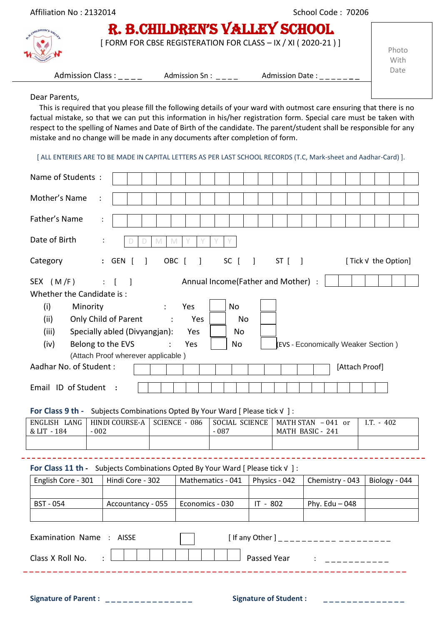| Affiliation No: 2132014 |                         | School Code: 70206                                                                           |                 |               |  |  |  |
|-------------------------|-------------------------|----------------------------------------------------------------------------------------------|-----------------|---------------|--|--|--|
|                         |                         | R. B.CHILDREN'S VALLEY SCHOOL<br>[FORM FOR CBSE REGISTERATION FOR CLASS - IX / XI (2020-21)] |                 | Photo<br>With |  |  |  |
|                         | <b>Admission Class:</b> | Admission Sn:                                                                                | Admission Date: | Date          |  |  |  |
|                         |                         |                                                                                              |                 |               |  |  |  |

## Dear Parents,

This is required that you please fill the following details of your ward with outmost care ensuring that there is no factual mistake, so that we can put this information in his/her registration form. Special care must be taken with respect to the spelling of Names and Date of Birth of the candidate. The parent/student shall be responsible for any mistake and no change will be made in any documents after completion of form.

[ ALL ENTERIES ARE TO BE MADE IN CAPITAL LETTERS AS PER LAST SCHOOL RECORDS (T.C, Mark-sheet and Aadhar-Card) ].

| Name of Students:                                                             |                                                              |               |                                    |          |                                            |                    |                                     |                      |               |  |
|-------------------------------------------------------------------------------|--------------------------------------------------------------|---------------|------------------------------------|----------|--------------------------------------------|--------------------|-------------------------------------|----------------------|---------------|--|
| Mother's Name<br>$\ddot{\cdot}$                                               |                                                              |               |                                    |          |                                            |                    |                                     |                      |               |  |
| Father's Name                                                                 |                                                              |               |                                    |          |                                            |                    |                                     |                      |               |  |
| Date of Birth                                                                 | M<br>M                                                       |               |                                    |          |                                            |                    |                                     |                      |               |  |
| Category                                                                      | : GEN [<br>OBC [<br>1                                        | $\mathbf{I}$  | SC [                               | $\Box$   | $ST$ $\begin{bmatrix} \quad \end{bmatrix}$ |                    |                                     | [ Tick √ the Option] |               |  |
| SEX (M/F)<br>Whether the Candidate is:                                        | $\therefore$ [<br>$\blacksquare$                             |               | Annual Income(Father and Mother) : |          |                                            |                    |                                     |                      |               |  |
| (i)<br>Minority                                                               | $\ddot{\cdot}$                                               | Yes           | No                                 |          |                                            |                    |                                     |                      |               |  |
| (ii)                                                                          | Only Child of Parent<br>$\ddot{\phantom{0}}$ :               | Yes           | <b>No</b>                          |          |                                            |                    |                                     |                      |               |  |
| (iii)                                                                         | Specially abled (Divyangjan):                                | Yes           | No                                 |          |                                            |                    |                                     |                      |               |  |
| (iv)                                                                          | Belong to the EVS                                            | Yes           | No                                 |          |                                            |                    | (EVS - Economically Weaker Section) |                      |               |  |
|                                                                               | (Attach Proof wherever applicable)                           |               |                                    |          |                                            |                    |                                     |                      |               |  |
| Aadhar No. of Student:<br>[Attach Proof]                                      |                                                              |               |                                    |          |                                            |                    |                                     |                      |               |  |
| Email ID of Student<br>$\cdot$ :                                              |                                                              |               |                                    |          |                                            |                    |                                     |                      |               |  |
| For Class 9 th -                                                              | Subjects Combinations Opted By Your Ward [ Please tick V ] : |               |                                    |          |                                            |                    |                                     |                      |               |  |
| ENGLISH LANG                                                                  | HINDI COURSE-A                                               | SCIENCE - 086 | SOCIAL SCIENCE                     |          |                                            | MATH STAN - 041 or |                                     | $I.T. - 402$         |               |  |
| & LIT - 184<br>$-002$                                                         |                                                              |               | $-087$                             |          |                                            | MATH BASIC - 241   |                                     |                      |               |  |
|                                                                               |                                                              |               |                                    |          |                                            |                    |                                     |                      |               |  |
| For Class 11 th - Subjects Combinations Opted By Your Ward [ Please tick v ]: |                                                              |               |                                    |          |                                            |                    |                                     |                      |               |  |
| English Core - 301                                                            | Hindi Core - 302                                             |               | Mathematics - 041                  |          | Physics - 042                              |                    | Chemistry - 043                     |                      | Biology - 044 |  |
|                                                                               |                                                              |               |                                    |          |                                            |                    |                                     |                      |               |  |
| <b>BST - 054</b>                                                              | Accountancy - 055   Economics - 030                          |               |                                    | IT - 802 |                                            |                    | Phy. Edu $-048$                     |                      |               |  |
|                                                                               |                                                              |               |                                    |          |                                            |                    |                                     |                      |               |  |
| Examination Name : AISSE<br>[ If any Other ] ______________________           |                                                              |               |                                    |          |                                            |                    |                                     |                      |               |  |
| Class X Roll No.                                                              |                                                              |               |                                    |          |                                            |                    |                                     |                      |               |  |

Signature of Parent : \_\_\_\_\_\_\_\_\_\_\_\_\_\_\_\_\_ Signature of Student : \_\_\_\_\_\_\_\_\_\_\_\_\_\_\_\_\_